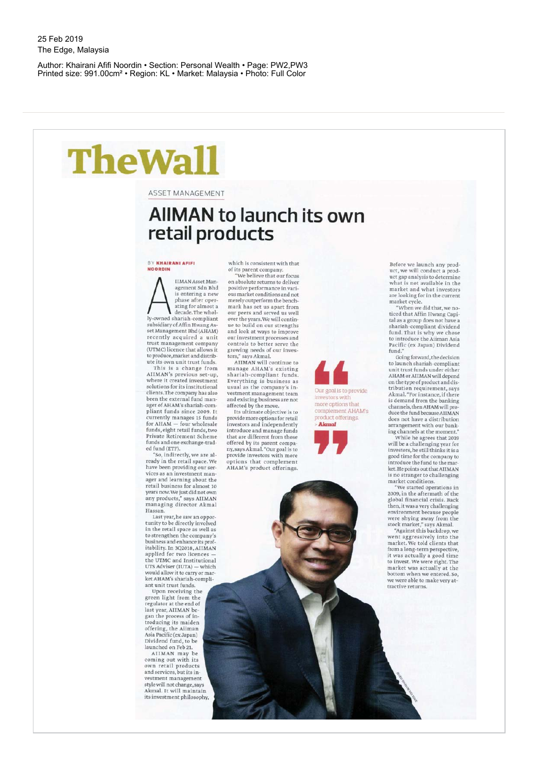Author: Khairani Afifi Noordin • Section: Personal Wealth • Page: PW2,PW3 Printed size: 991.00cm² • Region: KL • Market: Malaysia • Photo: Full Color

## **TheWall**

**ASSET MANAGEMENT** 

## **AIIMAN to launch its own retail products**

**BY KHAIRANI AFIFI NOORDIN** 

A signed that the is entering a sense of the sphere of the sphere of the sphere of the sphere of the sphere of the sphere of the sphere of the sphere of the sphere of the sphere of the sphere of the sphere of the sphere of IIMAN Asset Mangement Sdn Bhd is entering a new phase after oper-<br>ating for almost a decade.The wholly-owned shariah-compliant<br>subsidiary of Affin Hwang Asset Management Bhd (AHAM)<br>recently acquired a unit trust management company<br>(UTMC) licence that allows it<br>to produce,market and distrib-

ute its own unit trust funds.<br>This is a change from<br>AIIMAN's previous set-up,<br>where it created investment<br>solutions for its institutional clients.The company has also<br>been the external fund manager of AHAM's shariah-compliant funds since 2009. It<br>currently manages 15 funds<br>for AHAM — four wholesale<br>funds, eight retail funds, two Private Retirement Scheme<br>funds and one exchange-traded fund (ETF).

"So, indirectly, we are al-<br>ready in the retail space. We have been providing our ser-vices as an investmen t man ager and learning about the<br>retail business for almost 10<br>years now.We just did not own any products," says AIIMAN<br>managing director Akmal Hassan.

Last year, he saw an oppor-<br>tunity to be directly involved in the retail space as well as<br>to strengthen the company's business and enhance its profitability. In 3Q2018, AIIMAN<br>applied for two licences the UTMC and Institutional<br>UTS Adviser (IUTA) — which would allow it to carry or market AHAM's shariah-compliant unit trust funds.

Upon receiving the<br>green light from the regulator at the end of<br>last year, AIIMAN began the process of introducing its maiden<br>offering, the Aiiman Asia Pacific (ex Japan) Dividend fund , to be launched on Feb 21.

Htm\*.

AIIMAN may be<br>coming out with its own retail products<br>and services, but its investment management<br>style will not change,says Akmal. It will maintain its investment philosophy, which is consistent with that of its parent company.<br>"We believe that our focus

on absolute returns to deliver<br>positive performance in various market conditions and not merely outperform the bench-<br>mark has set us apart from our peers and served us well over the years. We will contin-ue to build on our strength s and look at ways to improve our investment processes and controls to better serve the<br>growing needs of our investors," says Akmal.

AIIMAN will continue to<br>manage AHAM's existing<br>shariah-compliant funds.<br>Everything is business as usual as the company's in-<br>vestment management team<br>and existing business are not

affected by the move.<br>Its ultimate objective is to provide more options for retail<br>investors and independently introduce and manage funds that are different from those<br>offered by its parent compa-<br>ny, says Akmal. "Our goal is to<br>provide investors with more options that complement AHAM's product offerings.

*kk*  Our goal is to provide investors with more options that complement AHAM's product offerings.



Before we launch any prod-<br>uct, we will conduct a product gap analysis to determine<br>what is not available in the market and what investors are looking for in the current<br>market cycle.

"Whe n we did that,we no-ticed tha t Affin Hwan g Capital as a group does not have a<br>shariah-compliant dividend<br>fund. That is why we chose to introduce the Aiiman Asia Pacific (ex Japan) Dividend fund."

Going forward, the decision<br>to launch shariah-compliant unit trust funds under either<br>AHAM or AIIMAN will depend on the type of product and dis-<br>tribution requirement, says<br>Akmal."For instance, if there is demand from the banking<br>channels,then AHAM will produce the fund because AIIMAN does not have a distribution<br>arrangement with our bank-

ing channels at the moment. " Whil e he agrees tha t 2019 will be a challenging year for investors, he still thinks it is a good time for th e compan y to introduce the fund to the mar-ket. He points out that AIIMAN is no stranger to challenging<br>market conditions.

"We started operations in 2009, in th e aftermat h of th e global financia l crisis. Back then, it was a very challenging<br>environment because people were shying away from the<br>stock market," says Akmal.<br>"Against this backdrop, we

went aggressively into the<br>market. We told clients that from a long-term perspective,<br>it was actually a good time<br>to invest. We were right. The market was actually at the<br>bottom when we entered. So, we were able to make very attractive returns.